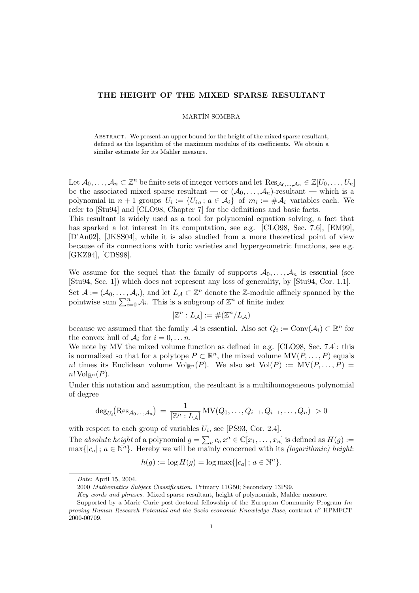# THE HEIGHT OF THE MIXED SPARSE RESULTANT

### MARTÍN SOMBRA

ABSTRACT. We present an upper bound for the height of the mixed sparse resultant, defined as the logarithm of the maximum modulus of its coefficients. We obtain a similar estimate for its Mahler measure.

Let  $\mathcal{A}_0, \ldots, \mathcal{A}_n \subset \mathbb{Z}^n$  be finite sets of integer vectors and let  $\text{Res}_{\mathcal{A}_0, \ldots, \mathcal{A}_n} \in \mathbb{Z}[U_0, \ldots, U_n]$ be the associated mixed sparse resultant — or  $(\mathcal{A}_0, \ldots, \mathcal{A}_n)$ -resultant — which is a polynomial in  $n+1$  groups  $U_i := \{U_{i\,a}; a \in \mathcal{A}_i\}$  of  $m_i := \#\mathcal{A}_i$  variables each. We refer to [Stu94] and [CLO98, Chapter 7] for the definitions and basic facts. This resultant is widely used as a tool for polynomial equation solving, a fact that

has sparked a lot interest in its computation, see e.g. [CLO98, Sec. 7.6], [EM99], [D'An02], [JKSS04], while it is also studied from a more theoretical point of view because of its connections with toric varieties and hypergeometric functions, see e.g. [GKZ94], [CDS98].

We assume for the sequel that the family of supports  $A_0, \ldots, A_n$  is essential (see [Stu94, Sec. 1]) which does not represent any loss of generality, by [Stu94, Cor. 1.1]. Set  $\mathcal{A} := (\mathcal{A}_0, \ldots, \mathcal{A}_n)$ , and let  $L_{\mathcal{A}} \subset \mathbb{Z}^n$  denote the Z-module affinely spanned by the Set  $A := (A_0, \ldots, A_n)$ , and let  $L_A \subset \mathbb{Z}^n$  denote the  $\mathbb{Z}$ -module and pointwise sum  $\sum_{i=0}^n A_i$ . This is a subgroup of  $\mathbb{Z}^n$  of finite index

$$
[\mathbb{Z}^n : L_{\mathcal{A}}] := \#(\mathbb{Z}^n / L_{\mathcal{A}})
$$

because we assumed that the family A is essential. Also set  $Q_i := \text{Conv}(\mathcal{A}_i) \subset \mathbb{R}^n$  for the convex hull of  $\mathcal{A}_i$  for  $i = 0, \ldots n$ .

We note by MV the mixed volume function as defined in e.g. [CLO98, Sec. 7.4]: this is normalized so that for a polytope  $P \subset \mathbb{R}^n$ , the mixed volume  $MV(P, \ldots, P)$  equals n! times its Euclidean volume  $\text{Vol}_{\mathbb{R}^n}(P)$ . We also set  $\text{Vol}(P) := \text{MV}(P, \ldots, P) =$  $n! \operatorname{Vol}_{\mathbb{R}^n}(P).$ 

Under this notation and assumption, the resultant is a multihomogeneous polynomial of degree

$$
\deg_{U_i}(\text{Res}_{\mathcal{A}_0,\dots,\mathcal{A}_n}) = \frac{1}{[\mathbb{Z}^n : L_{\mathcal{A}}]} MV(Q_0,\dots,Q_{i-1},Q_{i+1},\dots,Q_n) > 0
$$

with respect to each group of variables  $U_i$ , see [PS93, Cor. 2.4].

The *absolute height* of a polynomial  $g =$  $\overline{\phantom{a}}$  $a \, a \, x^a \in \mathbb{C}[x_1, \ldots, x_n]$  is defined as  $H(g) :=$  $\max\{|c_a|; a \in \mathbb{N}^n\}$ . Hereby we will be mainly concerned with its *(logarithmic) height*:

$$
h(g) := \log H(g) = \log \max\{|c_a|; a \in \mathbb{N}^n\}.
$$

Date: April 15, 2004.

<sup>2000</sup> Mathematics Subject Classification. Primary 11G50; Secondary 13P99.

Key words and phrases. Mixed sparse resultant, height of polynomials, Mahler measure.

Supported by a Marie Curie post-doctoral fellowship of the European Community Program Improving Human Research Potential and the Socio-economic Knowledge Base, contract  $n^{\circ}$  HPMFCT-2000-00709.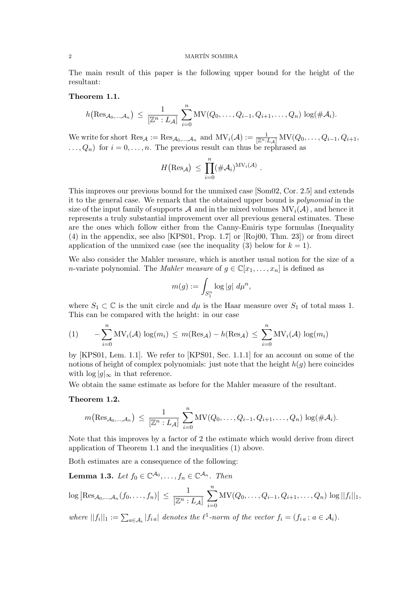#### 2 MARTÍN SOMBRA

The main result of this paper is the following upper bound for the height of the resultant:

## Theorem 1.1.

$$
h\big(\text{Res}_{\mathcal{A}_0,\ldots,\mathcal{A}_n}\big) \,\leq\, \frac{1}{[\mathbb{Z}^n:L_\mathcal{A}]}\,\sum_{i=0}^n \text{MV}(Q_0,\ldots,Q_{i-1},Q_{i+1},\ldots,Q_n)\,\log(\#\mathcal{A}_i).
$$

We write for short  $\text{Res}_{\mathcal{A}} := \text{Res}_{\mathcal{A}_0,\dots,\mathcal{A}_n}$  and  $MV_i(\mathcal{A}) := \frac{1}{[\mathbb{Z}^n:L_{\mathcal{A}}]} MV(Q_0,\dots,Q_{i-1},Q_{i+1},\dots)$  $\ldots, Q_n$  for  $i = 0, \ldots, n$ . The previous result can thus be rephrased as

$$
H(\text{Res}_{\mathcal{A}}) \ \leq \ \prod_{i=0}^n (\#\mathcal{A}_i)^{\mathrm{MV}_i(\mathcal{A})} \ .
$$

This improves our previous bound for the unmixed case [Som02, Cor. 2.5] and extends it to the general case. We remark that the obtained upper bound is polynomial in the size of the input family of supports A and in the mixed volumes  $MV_i(\mathcal{A})$ , and hence it represents a truly substantial improvement over all previous general estimates. These are the ones which follow either from the Canny-Emiris type formulas (Inequality (4) in the appendix, see also [KPS01, Prop. 1.7] or [Roj00, Thm. 23]) or from direct application of the unmixed case (see the inequality (3) below for  $k = 1$ ).

We also consider the Mahler measure, which is another usual notion for the size of a *n*-variate polynomial. The *Mahler measure* of  $g \in \mathbb{C}[x_1, \ldots, x_n]$  is defined as

$$
m(g) := \int_{S_1^n} \log|g| \ d\mu^n,
$$

where  $S_1 \subset \mathbb{C}$  is the unit circle and  $d\mu$  is the Haar measure over  $S_1$  of total mass 1. This can be compared with the height: in our case

(1) 
$$
-\sum_{i=0}^{n} MV_i(\mathcal{A})\log(m_i) \leq m(\text{Res}_{\mathcal{A}}) - h(\text{Res}_{\mathcal{A}}) \leq \sum_{i=0}^{n} MV_i(\mathcal{A})\log(m_i)
$$

by [KPS01, Lem. 1.1]. We refer to [KPS01, Sec. 1.1.1] for an account on some of the notions of height of complex polynomials: just note that the height  $h(g)$  here coincides with  $\log |q|_{\infty}$  in that reference.

We obtain the same estimate as before for the Mahler measure of the resultant.

# Theorem 1.2.

$$
m\big(\text{Res}_{\mathcal{A}_0,\ldots,\mathcal{A}_n}\big) \,\leq\, \frac{1}{[\mathbb{Z}^n:L_\mathcal{A}]}\,\sum_{i=0}^n \text{MV}(Q_0,\ldots,Q_{i-1},Q_{i+1},\ldots,Q_n)\,\log(\#\mathcal{A}_i).
$$

Note that this improves by a factor of 2 the estimate which would derive from direct application of Theorem 1.1 and the inequalities (1) above.

Both estimates are a consequence of the following:

**Lemma 1.3.** Let  $f_0 \in \mathbb{C}^{\mathcal{A}_0}, \ldots, f_n \in \mathbb{C}^{\mathcal{A}_n}$ . Then

$$
\log |{\rm Res}_{\mathcal{A}_0,...,\mathcal{A}_n}(f_0,...,f_n)| \leq \frac{1}{[\mathbb{Z}^n:L_{\mathcal{A}}]} \sum_{i=0}^n \mathrm{MV}(Q_0,...,Q_{i-1},Q_{i+1},...,Q_n) \log ||f_i||_1,
$$

where  $||f_i||_1 := \sum_{a \in \mathcal{A}_i} |f_{i,a}|$  denotes the  $\ell^1$ -norm of the vector  $f_i = (f_{i,a}; a \in \mathcal{A}_i)$ .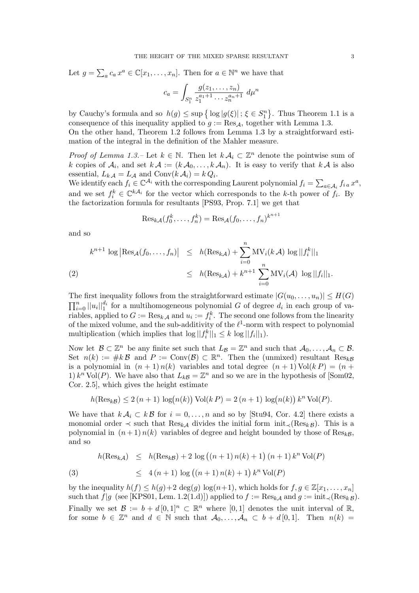Let 
$$
g = \sum_a c_a x^a \in \mathbb{C}[x_1, \ldots, x_n]
$$
. Then for  $a \in \mathbb{N}^n$  we have that

$$
c_a = \int_{S_1^n} \frac{g(z_1, \dots, z_n)}{z_1^{a_1+1} \cdots z_n^{a_n+1}} d\mu^n
$$

by Cauchy's formula and so  $h(g) \leq \sup \{ \log |g(\xi)| ; \xi \in S_1^n \}$ ª . Thus Theorem 1.1 is a consequence of this inequality applied to  $g := \text{Res}_{\mathcal{A}}$ , together with Lemma 1.3. On the other hand, Theorem 1.2 follows from Lemma 1.3 by a straightforward estimation of the integral in the definition of the Mahler measure.

*Proof of Lemma 1.3.* – Let  $k \in \mathbb{N}$ . Then let  $k \mathcal{A}_i \subset \mathbb{Z}^n$  denote the pointwise sum of k copies of  $\mathcal{A}_i$ , and set  $k \mathcal{A} := (k \mathcal{A}_0, \ldots, k \mathcal{A}_n)$ . It is easy to verify that  $k \mathcal{A}$  is also essential,  $L_{k,A} = L_{A}$  and  $Conv(k \mathcal{A}_{i}) = k Q_{i}$ .

Essential,  $L_k A = L_A$  and  $\text{Conv}(k \mathcal{A}_i) = k \mathcal{Q}_i$ .<br>We identify each  $f_i \in \mathbb{C}^{\mathcal{A}_i}$  with the corresponding Laurent polynomial  $f_i = \sum$  $_{a\in\mathcal{A}_i}$   $f_{i\,a}\,x^a,$ and we set  $f_i^k \in \mathbb{C}^{k\mathcal{A}_i}$  for the vector which corresponds to the k-th power of  $f_i$ . By the factorization formula for resultants [PS93, Prop. 7.1] we get that

$$
\mathrm{Res}_{k\mathcal{A}}(f_0^k,\ldots,f_n^k)=\mathrm{Res}_{\mathcal{A}}(f_0,\ldots,f_n)^{k^{n+1}}
$$

and so

$$
k^{n+1} \log |\text{Res}_{\mathcal{A}}(f_0, ..., f_n)| \leq h(\text{Res}_{k\mathcal{A}}) + \sum_{i=0}^n \text{MV}_i(k\mathcal{A}) \log ||f_i^k||_1
$$
  
(2)  

$$
\leq h(\text{Res}_{k\mathcal{A}}) + k^{n+1} \sum_{i=0}^n \text{MV}_i(\mathcal{A}) \log ||f_i||_1.
$$

The first inequality follows from the straightforward estimate  $|G(u_0, \ldots, u_n)| \leq H(G)$  $\frac{1}{\Box}n$  $\lim_{i=0}^n ||u_i||_1^{d_i}$  for a multihomogeneous polynomial G of degree  $d_i$  in each group of variables, applied to  $G := \text{Res}_{k,\mathcal{A}}$  and  $u_i := f_i^k$ . The second one follows from the linearity of the mixed volume, and the sub-additivity of the  $\ell^1$ -norm with respect to polynomial multiplication (which implies that  $\log ||f_i^k||_1 \leq k \log ||f_i||_1$ ).

Now let  $\mathcal{B} \subset \mathbb{Z}^n$  be any finite set such that  $L_{\mathcal{B}} = \mathbb{Z}^n$  and such that  $\mathcal{A}_0, \ldots, \mathcal{A}_n \subset \mathcal{B}$ . Set  $n(k) := \#k \mathcal{B}$  and  $P := \text{Conv}(\mathcal{B}) \subset \mathbb{R}^n$ . Then the (unmixed) resultant  $\text{Res}_{k\mathcal{B}}$ is a polynomial in  $(n + 1) n(k)$  variables and total degree  $(n + 1) Vol(k P) = (n +$ 1)  $k^n$  Vol(P). We have also that  $L_{k\mathcal{B}} = \mathbb{Z}^n$  and so we are in the hypothesis of [Som02, Cor. 2.5], which gives the height estimate

$$
h(\text{Res}_k g) \le 2 (n+1) \log(n(k)) \text{Vol}(k) = 2 (n+1) \log(n(k)) k^n \text{Vol}(P).
$$

We have that  $k \mathcal{A}_i \subset k \mathcal{B}$  for  $i = 0, \ldots, n$  and so by [Stu94, Cor. 4.2] there exists a monomial order  $\prec$  such that Res<sub>kA</sub> divides the initial form init<sub> $\prec$ </sub>(Res<sub>kB</sub>). This is a polynomial in  $(n+1) n(k)$  variables of degree and height bounded by those of Res<sub>kB</sub>, and so

$$
h(\text{Res}_{k\mathcal{A}}) \leq h(\text{Res}_{k\mathcal{B}}) + 2 \log ((n+1) n(k) + 1) (n+1) k^{n} \text{Vol}(P)
$$
  
(3) 
$$
\leq 4 (n+1) \log ((n+1) n(k) + 1) k^{n} \text{Vol}(P)
$$

by the inequality  $h(f) \leq h(g)+2 \deg(g) \log(n+1)$ , which holds for  $f, g \in \mathbb{Z}[x_1, \ldots, x_n]$ such that f|g (see [KPS01, Lem. 1.2(1.d)]) applied to  $f := \text{Res}_{k\mathcal{A}}$  and  $g := \text{init}_{\prec}(\text{Res}_{k\mathcal{B}})$ . Finally we set  $\mathcal{B} := b + d \, [0,1]^n \subset \mathbb{R}^n$  where  $[0,1]$  denotes the unit interval of  $\mathbb{R}$ , for some  $b \in \mathbb{Z}^n$  and  $d \in \mathbb{N}$  such that  $\mathcal{A}_0, \ldots, \mathcal{A}_n \subset b + d[0,1]$ . Then  $n(k) =$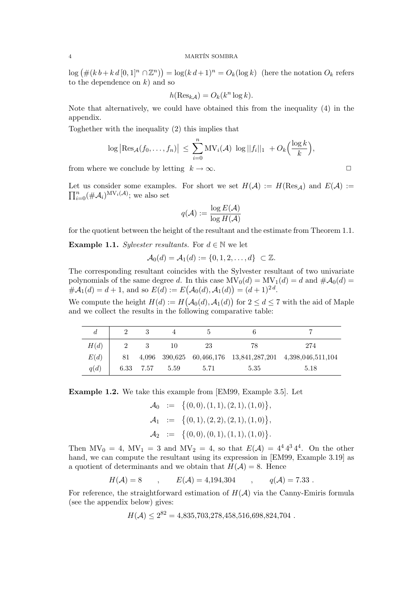$\log (\# (k \, b + k \, d \, [0, 1]^n \cap \mathbb{Z}^n))$  $= \log((k d + 1)^n) = O_k(\log k)$  (here the notation  $O_k$  refers to the dependence on  $k$ ) and so

$$
h(\operatorname{Res}_{k\mathcal{A}}) = O_k(k^n \log k).
$$

Note that alternatively, we could have obtained this from the inequality (4) in the appendix.

Toghether with the inequality (2) this implies that

$$
\log \left| \text{Res}_{\mathcal{A}}(f_0,\ldots,f_n) \right| \leq \sum_{i=0}^n \text{MV}_i(\mathcal{A}) \, \log ||f_i||_1 + O_k\Big(\frac{\log k}{k}\Big),
$$

from where we conclude by letting  $k \to \infty$ .

Let us consider some examples. For short we set  $H(\mathcal{A}) := H(\text{Res}_{\mathcal{A}})$  and  $E(\mathcal{A}) :=$  $\frac{\mathbf{L}\mathbf{e}\mathbf{u}}{\mathbf{L}\mathbf{T}^{n}}$  $_{i=0}^{n}$  (# $\mathcal{A}_{i}$ )<sup>MV<sub>i</sub>( $\mathcal{A}$ )</sup>; we also set

$$
q(\mathcal{A}) := \frac{\log E(\mathcal{A})}{\log H(\mathcal{A})}
$$

for the quotient between the height of the resultant and the estimate from Theorem 1.1.

**Example 1.1.** Sylvester resultants. For  $d \in \mathbb{N}$  we let

$$
\mathcal{A}_0(d) = \mathcal{A}_1(d) := \{0, 1, 2, \ldots, d\} \subset \mathbb{Z}.
$$

The corresponding resultant coincides with the Sylvester resultant of two univariate polynomials of the same degree d. In this case  $MV_0(d) = MV_1(d) = d$  and  $\#A_0(d) =$  $\#\mathcal{A}_1(d) = d+1$ , and so  $E(d) := E(\mathcal{A}_0(d), \mathcal{A}_1(d)) = (d+1)^{2d}$ . ¡ ¢

We compute the height  $H(d) := H$  $\mathcal{A}_0(d), \mathcal{A}_1(d)$ for  $2 \leq d \leq 7$  with the aid of Maple and we collect the results in the following comparative table:

| H(d) |    |           | 10   | 23   | 78   | 274                                                       |
|------|----|-----------|------|------|------|-----------------------------------------------------------|
| E(d) | 81 |           |      |      |      | 4,096 390,625 60,466,176 13,841,287,201 4,398,046,511,104 |
| q(d) |    | 6.33 7.57 | 5.59 | 5.71 | 5.35 | 5.18                                                      |

Example 1.2. We take this example from [EM99, Example 3.5]. Let

$$
\mathcal{A}_0 := \{ (0,0), (1,1), (2,1), (1,0) \},
$$
  
\n
$$
\mathcal{A}_1 := \{ (0,1), (2,2), (2,1), (1,0) \},
$$
  
\n
$$
\mathcal{A}_2 := \{ (0,0), (0,1), (1,1), (1,0) \}.
$$

Then  $MV_0 = 4$ ,  $MV_1 = 3$  and  $MV_2 = 4$ , so that  $E(\mathcal{A}) = 4^4 4^3 4^4$ . On the other hand, we can compute the resultant using its expression in [EM99, Example 3.19] as a quotient of determinants and we obtain that  $H(A) = 8$ . Hence

$$
H(\mathcal{A}) = 8
$$
,  $E(\mathcal{A}) = 4,194,304$ ,  $q(\mathcal{A}) = 7.33$ .

For reference, the straightforward estimation of  $H(\mathcal{A})$  via the Canny-Emiris formula (see the appendix below) gives:

$$
H(\mathcal{A}) \le 2^{82} = 4,835,703,278,458,516,698,824,704
$$
.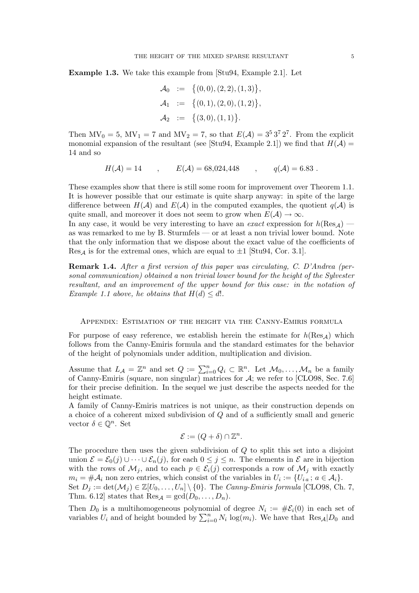Example 1.3. We take this example from [Stu94, Example 2.1]. Let

$$
\mathcal{A}_0 := \{ (0,0), (2,2), (1,3) \}, \n\mathcal{A}_1 := \{ (0,1), (2,0), (1,2) \}, \n\mathcal{A}_2 := \{ (3,0), (1,1) \}.
$$

Then  $MV_0 = 5$ ,  $MV_1 = 7$  and  $MV_2 = 7$ , so that  $E(\mathcal{A}) = 3^5 3^7 2^7$ . From the explicit monomial expansion of the resultant (see [Stu94, Example 2.1]) we find that  $H(\mathcal{A}) =$ 14 and so

$$
H(\mathcal{A}) = 14
$$
,  $E(\mathcal{A}) = 68,024,448$ ,  $q(\mathcal{A}) = 6.83$ .

These examples show that there is still some room for improvement over Theorem 1.1. It is however possible that our estimate is quite sharp anyway: in spite of the large difference between  $H(\mathcal{A})$  and  $E(\mathcal{A})$  in the computed examples, the quotient  $q(\mathcal{A})$  is quite small, and moreover it does not seem to grow when  $E(\mathcal{A}) \to \infty$ .

In any case, it would be very interesting to have an *exact* expression for  $h(\text{Res}_\mathcal{A})$  as was remarked to me by B. Sturmfels — or at least a non trivial lower bound. Note that the only information that we dispose about the exact value of the coefficients of  $\text{Res}_A$  is for the extremal ones, which are equal to  $\pm 1$  [Stu94, Cor. 3.1].

Remark 1.4. After a first version of this paper was circulating, C. D'Andrea (personal communication) obtained a non trivial lower bound for the height of the Sylvester resultant, and an improvement of the upper bound for this case: in the notation of Example 1.1 above, he obtains that  $H(d) \leq d!$ .

### Appendix: Estimation of the height via the Canny-Emiris formula

For purpose of easy reference, we establish herein the estimate for  $h(\text{Res}_A)$  which follows from the Canny-Emiris formula and the standard estimates for the behavior of the height of polynomials under addition, multiplication and division.

Assume that  $L_A = \mathbb{Z}^n$  and set  $Q := \sum_{i=0}^n Q_i \subset \mathbb{R}^n$ . Let  $\mathcal{M}_0, \ldots, \mathcal{M}_n$  be a family of Canny-Emiris (square, non singular) matrices for A; we refer to [CLO98, Sec. 7.6] for their precise definition. In the sequel we just describe the aspects needed for the height estimate.

A family of Canny-Emiris matrices is not unique, as their construction depends on a choice of a coherent mixed subdivision of Q and of a sufficiently small and generic vector  $\delta \in \mathbb{Q}^n$ . Set

$$
\mathcal{E} := (Q + \delta) \cap \mathbb{Z}^n.
$$

The procedure then uses the given subdivision of  $Q$  to split this set into a disjoint union  $\mathcal{E} = \mathcal{E}_0(j) \cup \cdots \cup \mathcal{E}_n(j)$ , for each  $0 \leq j \leq n$ . The elements in  $\mathcal{E}$  are in bijection with the rows of  $\mathcal{M}_j$ , and to each  $p \in \mathcal{E}_i(j)$  corresponds a row of  $\mathcal{M}_j$  with exactly  $m_i = #\mathcal{A}_i$  non zero entries, which consist of the variables in  $U_i := \{U_{i,a} : a \in \mathcal{A}_i\}.$ Set  $D_j := \det(\mathcal{M}_j) \in \mathbb{Z}[U_0, \ldots, U_n] \setminus \{0\}$ . The *Canny-Emiris formula* [CLO98, Ch. 7, Thm. 6.12] states that  $\text{Res}_{\mathcal{A}} = \text{gcd}(D_0, \ldots, D_n)$ .

Then  $D_0$  is a multihomogeneous polynomial of degree  $N_i := \#E_i(0)$  in each set of Then  $D_0$  is a multinomogeneous polynomial of degree  $N_i := \#C_i(0)$  in each set of variables  $U_i$  and of height bounded by  $\sum_{i=0}^n N_i \log(m_i)$ . We have that  $\text{Res}_{\mathcal{A}}|D_0$  and